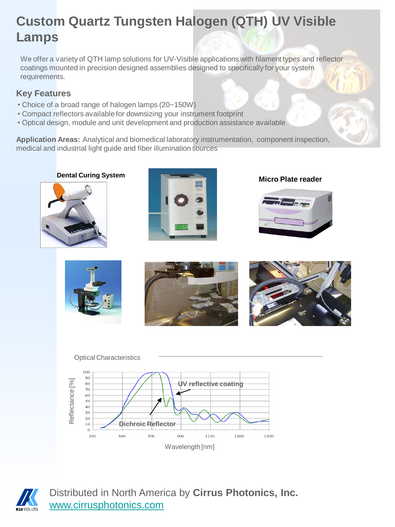## **Custom Quartz Tungsten Halogen (QTH) UV Visible Lamps**

We offer a variety of QTH lamp solutions for UV-Visible applications with filament types and reflector coatings mounted in precision designed assemblies designed to specifically for your system requirements.

## **Key Features**

- Choice of a broad range of halogen lamps (20~150W)
- Compact reflectors available for downsizing your instrument footprint
- Optical design, module and unit development and production assistance available

**Application Areas:** Analytical and biomedical laboratory instrumentation, component inspection, medical and industrial light guide and fiber illumination sources













Distributed in North America by **Cirrus Photonics, Inc.** [www.cirrusphotonics.com](http://www.cirrusphotonics.com/)